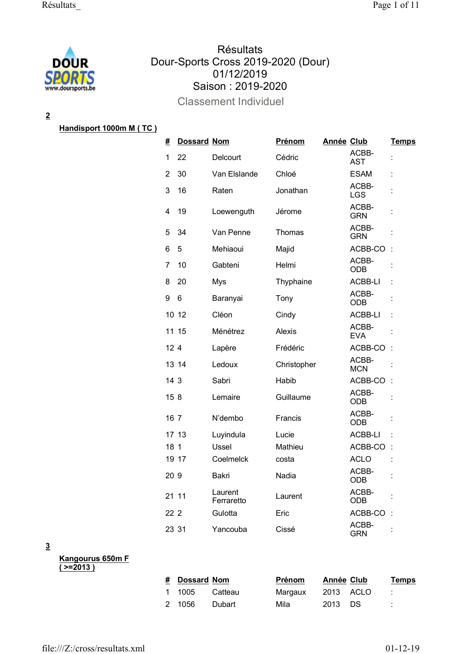

# **Résultats** Dour-Sports Cross 2019-2020 (Dour) 01/12/2019 Saison : 2019-2020

Classement Individuel

**2**

## **Handisport 1000m M ( TC )**

| #               | <b>Dossard Nom</b> |                       | Prénom      | <b>Année Club</b> |                     | <b>Temps</b>         |
|-----------------|--------------------|-----------------------|-------------|-------------------|---------------------|----------------------|
| 1               | 22                 | Delcourt              | Cédric      |                   | ACBB-<br><b>AST</b> | $\ddot{\phantom{a}}$ |
| 2               | 30                 | Van Elslande          | Chloé       |                   | ESAM                | t                    |
| 3               | 16                 | Raten                 | Jonathan    |                   | ACBB-<br><b>LGS</b> |                      |
| 4               | 19                 | Loewenguth            | Jérome      |                   | ACBB-<br><b>GRN</b> |                      |
| 5               | 34                 | Van Penne             | Thomas      |                   | ACBB-<br><b>GRN</b> |                      |
| 6               | 5                  | Mehiaoui              | Majid       |                   | ACBB-CO             |                      |
| 7               | 10                 | Gabteni               | Helmi       |                   | ACBB-<br><b>ODB</b> |                      |
| 8               | 20                 | Mys                   | Thyphaine   |                   | ACBB-LI             |                      |
| 9               | 6                  | Baranyai              | Tony        |                   | ACBB-<br><b>ODB</b> |                      |
|                 | 10 12              | Cléon                 | Cindy       |                   | ACBB-LI             | t                    |
|                 | 11 15              | Ménétrez              | Alexis      |                   | ACBB-<br><b>EVA</b> |                      |
| 12 <sub>4</sub> |                    | Lapère                | Frédéric    |                   | ACBB-CO             |                      |
|                 | 13 14              | Ledoux                | Christopher |                   | ACBB-<br><b>MCN</b> |                      |
| 14 3            |                    | Sabri                 | Habib       |                   | ACBB-CO             |                      |
| 158             |                    | Lemaire               | Guillaume   |                   | ACBB-<br><b>ODB</b> |                      |
| 16 7            |                    | N'dembo               | Francis     |                   | ACBB-<br><b>ODB</b> |                      |
|                 | 17 13              | Luyindula             | Lucie       |                   | ACBB-LI             |                      |
| 18 <sub>1</sub> |                    | Ussel                 | Mathieu     |                   | ACBB-CO             |                      |
|                 | 19 17              | Coelmelck             | costa       |                   | <b>ACLO</b>         |                      |
| 20 9            |                    | Bakri                 | Nadia       |                   | ACBB-<br><b>ODB</b> |                      |
|                 | 21 11              | Laurent<br>Ferraretto | Laurent     |                   | ACBB-<br>ODB        |                      |
| 22 2            |                    | Gulotta               | Eric        |                   | ACBB-CO             |                      |
| 23 31           |                    | Yancouba              | Cissé       |                   | ACBB-<br><b>GRN</b> | $\ddot{\phantom{a}}$ |

**3**

**Kangourus 650m F ( >=2013 )**

| # Dossard Nom |         | Prénom  | Année Club | <b>Temps</b> |
|---------------|---------|---------|------------|--------------|
| 1 1005        | Catteau | Margaux | 2013 ACLO  |              |
| 2 1056        | Dubart  | Mila    | 2013 DS    | ÷.           |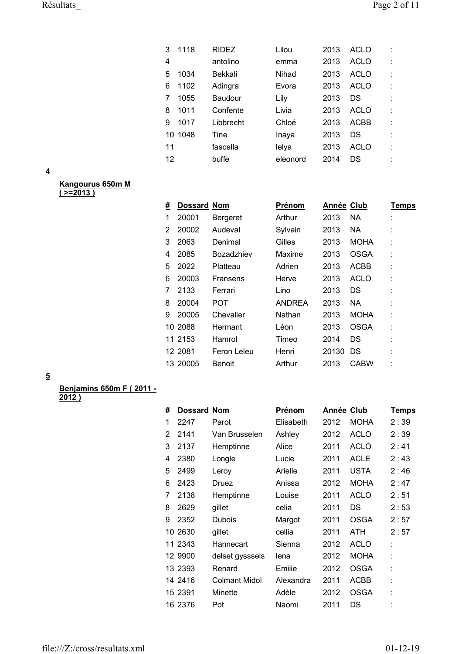| 3  | 1118    | <b>RIDEZ</b> | Lilou    | 2013 | <b>ACLO</b> | ÷  |
|----|---------|--------------|----------|------|-------------|----|
| 4  |         | antolino     | emma     | 2013 | <b>ACLO</b> | İ. |
| 5  | 1034    | Bekkali      | Nihad    | 2013 | ACLO        |    |
| 6  | 1102    | Adingra      | Evora    | 2013 | ACLO        |    |
| 7  | 1055    | Baudour      | Lily     | 2013 | DS          |    |
| 8  | 1011    | Confente     | Livia    | 2013 | <b>ACLO</b> |    |
| 9  | 1017    | Libbrecht    | Chloé    | 2013 | ACBB        | t  |
|    | 10 1048 | Tine         | Inaya    | 2013 | DS          |    |
| 11 |         | fascella     | lelya    | 2013 | <b>ACLO</b> | ٠  |
| 12 |         | buffe        | eleonord | 2014 | DS          |    |

| Kangourus 650m M |  |
|------------------|--|
| $(>=2013)$       |  |

| # | <b>Dossard Nom</b> |                   | Prénom        | Année Club |             | Temps |
|---|--------------------|-------------------|---------------|------------|-------------|-------|
| 1 | 20001              | Bergeret          | Arthur        | 2013       | <b>NA</b>   |       |
| 2 | 20002              | Audeval           | Sylvain       | 2013       | NA          |       |
| 3 | 2063               | Denimal           | Gilles        | 2013       | <b>MOHA</b> | ٠     |
| 4 | 2085               | <b>Bozadzhiev</b> | Maxime        | 2013       | <b>OSGA</b> |       |
| 5 | 2022               | Platteau          | Adrien        | 2013       | <b>ACBB</b> |       |
| 6 | 20003              | Fransens          | Herve         | 2013       | <b>ACLO</b> | ٠     |
| 7 | 2133               | Ferrari           | Lino          | 2013       | DS          | ٠     |
| 8 | 20004              | <b>POT</b>        | <b>ANDREA</b> | 2013       | NA          | ٠     |
| 9 | 20005              | Chevalier         | Nathan        | 2013       | <b>MOHA</b> |       |
|   | 10 2088            | Hermant           | Léon          | 2013       | OSGA        | ٠     |
|   | 11 2153            | Hamrol            | Timeo         | 2014       | DS          | ٠     |
|   | 12 2081            | Feron Leleu       | Henri         | 20130      | DS          | ٠     |
|   | 13 20005           | <b>Benoit</b>     | Arthur        | 2013       | CABW        | ٠     |

**5**

## **Benjamins 650m F ( 2011 -**

**2012 )**

| # | <b>Dossard Nom</b> |                      | Prénom    | <b>Année Club</b> |             | <b>Temps</b> |
|---|--------------------|----------------------|-----------|-------------------|-------------|--------------|
| 1 | 2247               | Parot                | Elisabeth | 2012              | <b>MOHA</b> | 2:39         |
| 2 | 2141               | Van Brusselen        | Ashley    | 2012              | <b>ACLO</b> | 2:39         |
| 3 | 2137               | Hemptinne            | Alice     | 2011              | <b>ACLO</b> | 2:41         |
| 4 | 2380               | Longle               | Lucie     | 2011              | <b>ACLE</b> | 2:43         |
| 5 | 2499               | Leroy                | Arielle   | 2011              | USTA        | 2:46         |
| 6 | 2423               | Druez                | Anissa    | 2012              | <b>MOHA</b> | 2:47         |
| 7 | 2138               | Hemptinne            | Louise    | 2011              | <b>ACLO</b> | 2:51         |
| 8 | 2629               | gillet               | celia     | 2011              | DS          | 2:53         |
| 9 | 2352               | <b>Dubois</b>        | Margot    | 2011              | <b>OSGA</b> | 2:57         |
|   | 10 2630            | gillet               | cellia    | 2011              | <b>ATH</b>  | 2:57         |
|   | 11 2343            | Hannecart            | Sienna    | 2012              | <b>ACLO</b> | t            |
|   | 12 9900            | delset gysssels      | lena      | 2012              | <b>MOHA</b> | t            |
|   | 13 2393            | Renard               | Emilie    | 2012              | <b>OSGA</b> | t            |
|   | 14 2416            | <b>Colmant Midol</b> | Alexandra | 2011              | <b>ACBB</b> | t            |
|   | 15 2391            | Minette              | Adèle     | 2012              | <b>OSGA</b> | t            |
|   | 16 2376            | Pot                  | Naomi     | 2011              | DS          | ٠            |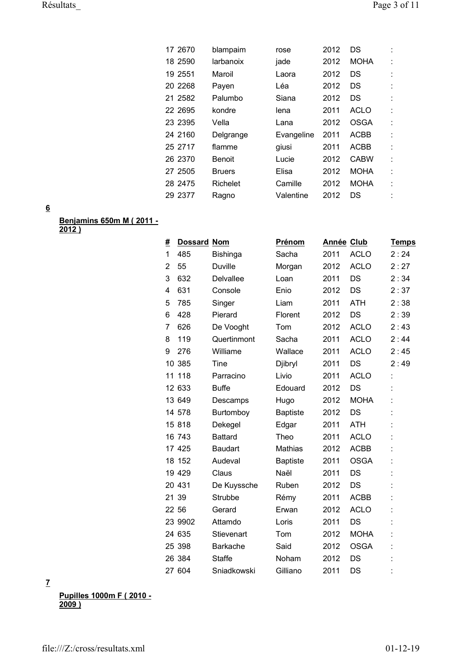| 17 2670 | blampaim      | rose       | 2012 | DS          |    |
|---------|---------------|------------|------|-------------|----|
| 18 2590 | larbanoix     | jade       | 2012 | <b>MOHA</b> |    |
| 19 2551 | Maroil        | Laora      | 2012 | DS          |    |
| 20 2268 | Payen         | Léa        | 2012 | DS          |    |
| 21 2582 | Palumbo       | Siana      | 2012 | DS          |    |
| 22 2695 | kondre        | lena       | 2011 | <b>ACLO</b> | t. |
| 23 2395 | Vella         | Lana       | 2012 | <b>OSGA</b> | t. |
| 24 2160 | Delgrange     | Evangeline | 2011 | ACBB        | ÷  |
| 25 2717 | flamme        | giusi      | 2011 | <b>ACBB</b> | t. |
| 26 2370 | <b>Benoit</b> | Lucie      | 2012 | <b>CABW</b> | t. |
| 27 2505 | <b>Bruers</b> | Elisa      | 2012 | <b>MOHA</b> | t  |
| 28 2475 | Richelet      | Camille    | 2012 | <b>MOHA</b> | t  |
| 29 2377 | Ragno         | Valentine  | 2012 | DS          |    |
|         |               |            |      |             |    |

**Benjamins 650m M ( 2011 - 2012 )**

| #              | <b>Dossard Nom</b> |                  | Prénom          | Année Club |             | <b>Temps</b> |
|----------------|--------------------|------------------|-----------------|------------|-------------|--------------|
| 1              | 485                | <b>Bishinga</b>  | Sacha           | 2011       | <b>ACLO</b> | 2:24         |
| $\overline{2}$ | 55                 | <b>Duville</b>   | Morgan          | 2012       | <b>ACLO</b> | 2:27         |
| 3              | 632                | <b>Delvallee</b> | Loan            | 2011       | <b>DS</b>   | 2:34         |
| 4              | 631                | Console          | Enio            | 2012       | DS          | 2:37         |
| 5              | 785                | Singer           | Liam            | 2011       | <b>ATH</b>  | 2:38         |
| 6              | 428                | Pierard          | Florent         | 2012       | DS          | 2:39         |
| 7              | 626                | De Vooght        | Tom             | 2012       | <b>ACLO</b> | 2:43         |
| 8              | 119                | Quertinmont      | Sacha           | 2011       | <b>ACLO</b> | 2:44         |
| 9              | 276                | Williame         | Wallace         | 2011       | <b>ACLO</b> | 2:45         |
|                | 10 385             | <b>Tine</b>      | Djibryl         | 2011       | <b>DS</b>   | 2:49         |
| 11             | 118                | Parracino        | Livio           | 2011       | <b>ACLO</b> |              |
|                | 12 633             | <b>Buffe</b>     | Edouard         | 2012       | DS          |              |
|                | 13 649             | Descamps         | Hugo            | 2012       | <b>MOHA</b> |              |
|                | 14 578             | Burtomboy        | <b>Baptiste</b> | 2012       | <b>DS</b>   |              |
|                | 15 818             | Dekegel          | Edgar           | 2011       | <b>ATH</b>  |              |
|                | 16 743             | <b>Battard</b>   | Theo            | 2011       | <b>ACLO</b> |              |
|                | 17 425             | <b>Baudart</b>   | <b>Mathias</b>  | 2012       | <b>ACBB</b> |              |
|                | 18 152             | Audeval          | <b>Baptiste</b> | 2011       | <b>OSGA</b> |              |
|                | 19 429             | Claus            | Naël            | 2011       | <b>DS</b>   |              |
|                | 20 431             | De Kuyssche      | Ruben           | 2012       | DS          |              |
|                | 21 39              | Strubbe          | Rémy            | 2011       | <b>ACBB</b> |              |
|                | 22 56              | Gerard           | Erwan           | 2012       | <b>ACLO</b> |              |
|                | 23 9902            | Attamdo          | Loris           | 2011       | DS          |              |
|                | 24 635             | Stievenart       | Tom             | 2012       | <b>MOHA</b> |              |
|                | 25 398             | <b>Barkache</b>  | Said            | 2012       | <b>OSGA</b> |              |
|                | 26 384             | <b>Staffe</b>    | Noham           | 2012       | DS          |              |
|                | 27 604             | Sniadkowski      | Gilliano        | 2011       | DS          |              |

**7**

**Pupilles 1000m F ( 2010 - 2009 )**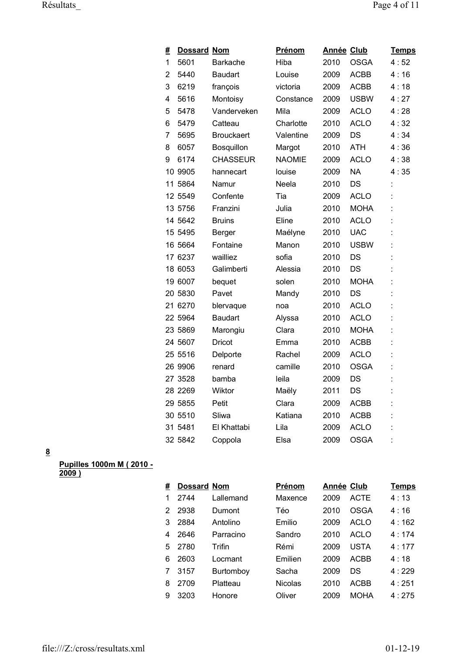| #              | <b>Dossard Nom</b> |                   | <u>Prénom</u> | <b>Année Club</b> |             | <b>Temps</b> |
|----------------|--------------------|-------------------|---------------|-------------------|-------------|--------------|
| 1              | 5601               | <b>Barkache</b>   | Hiba          | 2010              | <b>OSGA</b> | 4:52         |
| $\overline{2}$ | 5440               | <b>Baudart</b>    | Louise        | 2009              | <b>ACBB</b> | 4:16         |
| 3              | 6219               | françois          | victoria      | 2009              | <b>ACBB</b> | 4:18         |
| 4              | 5616               | Montoisy          | Constance     | 2009              | <b>USBW</b> | 4:27         |
| 5              | 5478               | Vanderveken       | Mila          | 2009              | <b>ACLO</b> | 4:28         |
| 6              | 5479               | Catteau           | Charlotte     | 2010              | <b>ACLO</b> | 4:32         |
| 7              | 5695               | <b>Brouckaert</b> | Valentine     | 2009              | DS          | 4:34         |
| 8              | 6057               | Bosquillon        | Margot        | 2010              | <b>ATH</b>  | 4:36         |
| 9              | 6174               | <b>CHASSEUR</b>   | <b>NAOMIE</b> | 2009              | <b>ACLO</b> | 4:38         |
|                | 10 9905            | hannecart         | louise        | 2009              | <b>NA</b>   | 4:35         |
|                | 11 5864            | Namur             | Neela         | 2010              | DS          |              |
|                | 12 5549            | Confente          | Tia           | 2009              | <b>ACLO</b> |              |
|                | 13 5756            | Franzini          | Julia         | 2010              | <b>MOHA</b> |              |
|                | 14 5642            | <b>Bruins</b>     | Eline         | 2010              | <b>ACLO</b> |              |
|                | 15 5495            | Berger            | Maélyne       | 2010              | <b>UAC</b>  |              |
|                | 16 5664            | Fontaine          | Manon         | 2010              | <b>USBW</b> |              |
|                | 17 6237            | wailliez          | sofia         | 2010              | DS          |              |
|                | 18 6053            | Galimberti        | Alessia       | 2010              | DS          |              |
|                | 19 6007            | bequet            | solen         | 2010              | <b>MOHA</b> |              |
|                | 20 5830            | Pavet             | Mandy         | 2010              | <b>DS</b>   |              |
|                | 21 6270            | blervaque         | noa           | 2010              | <b>ACLO</b> |              |
|                | 22 5964            | <b>Baudart</b>    | Alyssa        | 2010              | <b>ACLO</b> |              |
|                | 23 5869            | Marongiu          | Clara         | 2010              | <b>MOHA</b> |              |
|                | 24 5607            | Dricot            | Emma          | 2010              | <b>ACBB</b> |              |
|                | 25 5516            | Delporte          | Rachel        | 2009              | <b>ACLO</b> |              |
|                | 26 9906            | renard            | camille       | 2010              | <b>OSGA</b> |              |
|                | 27 3528            | bamba             | leila         | 2009              | DS          |              |
|                | 28 2269            | Wiktor            | Maëly         | 2011              | DS          |              |
|                | 29 5855            | Petit             | Clara         | 2009              | <b>ACBB</b> |              |
|                | 30 5510            | Sliwa             | Katiana       | 2010              | <b>ACBB</b> |              |
|                | 31 5481            | El Khattabi       | Lila          | 2009              | <b>ACLO</b> |              |
|                | 32 5842            | Coppola           | Elsa          | 2009              | <b>OSGA</b> |              |

#### **Pupilles 1000m M ( 2010 - 2009 )**

| # | <b>Dossard Nom</b> |           | Prénom         | <b>Année Club</b> |             | Temps |
|---|--------------------|-----------|----------------|-------------------|-------------|-------|
|   | 2744               | Lallemand | Maxence        | 2009              | <b>ACTE</b> | 4:13  |
| 2 | 2938               | Dumont    | Téo            | 2010              | OSGA        | 4:16  |
| 3 | 2884               | Antolino  | Emilio         | 2009              | ACLO        | 4:162 |
| 4 | 2646               | Parracino | Sandro         | 2010              | ACLO        | 4:174 |
| 5 | 2780               | Trifin    | Rémi           | 2009              | USTA        | 4:177 |
| 6 | 2603               | Locmant   | Emilien        | 2009              | ACBB        | 4:18  |
|   | 3157               | Burtomboy | Sacha          | 2009              | D.S         | 4:229 |
| 8 | 2709               | Platteau  | <b>Nicolas</b> | 2010              | ACBB        | 4:251 |
| 9 | 3203               | Honore    | Oliver         | 2009              | MOHA        | 4:275 |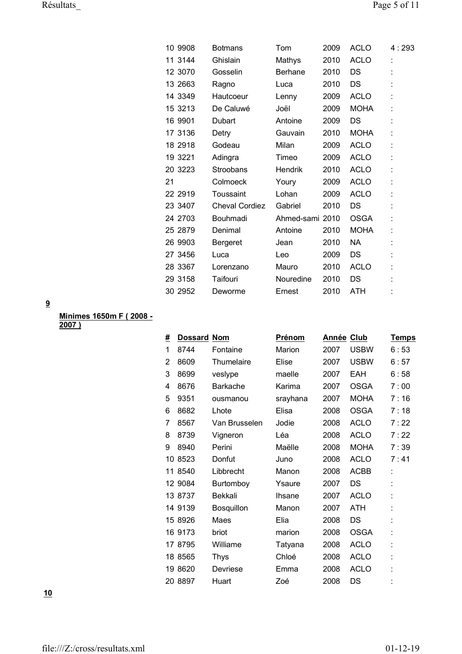|    | 10 9908 | <b>Botmans</b>        | Tom             | 2009 | <b>ACLO</b> | 4:293 |
|----|---------|-----------------------|-----------------|------|-------------|-------|
|    | 11 3144 | Ghislain              | Mathys          | 2010 | <b>ACLO</b> | t     |
|    | 12 3070 | Gosselin              | <b>Berhane</b>  | 2010 | DS          |       |
|    | 13 2663 | Ragno                 | Luca            | 2010 | DS          |       |
|    | 14 3349 | Hautcoeur             | Lenny           | 2009 | <b>ACLO</b> |       |
|    | 15 3213 | De Caluwé             | Joël            | 2009 | <b>MOHA</b> |       |
|    | 16 9901 | Dubart                | Antoine         | 2009 | DS          |       |
|    | 17 3136 | Detry                 | Gauvain         | 2010 | <b>MOHA</b> |       |
|    | 18 2918 | Godeau                | Milan           | 2009 | <b>ACLO</b> |       |
|    | 19 3221 | Adingra               | Timeo           | 2009 | <b>ACLO</b> |       |
|    | 20 3223 | Stroobans             | Hendrik         | 2010 | <b>ACLO</b> |       |
| 21 |         | Colmoeck              | Youry           | 2009 | <b>ACLO</b> | ÷     |
|    | 22 2919 | Toussaint             | Lohan           | 2009 | <b>ACLO</b> |       |
|    | 23 3407 | <b>Cheval Cordiez</b> | Gabriel         | 2010 | DS          |       |
|    | 24 2703 | Bouhmadi              | Ahmed-sami 2010 |      | <b>OSGA</b> |       |
|    | 25 2879 | Denimal               | Antoine         | 2010 | <b>MOHA</b> |       |
|    | 26 9903 | Bergeret              | Jean            | 2010 | NA.         |       |
|    | 27 3456 | Luca                  | Leo             | 2009 | DS          |       |
|    | 28 3367 | Lorenzano             | Mauro           | 2010 | <b>ACLO</b> |       |
|    | 29 3158 | Taifouri              | Nouredine       | 2010 | DS          |       |
|    | 30 2952 | Deworme               | Ernest          | 2010 | <b>ATH</b>  |       |

**Minimes 1650m F ( 2008 - 2007 )**

| #  | <b>Dossard Nom</b> |                 | Prénom   | <b>Année Club</b> |             | <b>Temps</b> |
|----|--------------------|-----------------|----------|-------------------|-------------|--------------|
| 1  | 8744               | Fontaine        | Marion   | 2007              | <b>USBW</b> | 6:53         |
| 2  | 8609               | Thumelaire      | Elise    | 2007              | <b>USBW</b> | 6:57         |
| 3  | 8699               | veslype         | maelle   | 2007              | <b>EAH</b>  | 6:58         |
| 4  | 8676               | <b>Barkache</b> | Karima   | 2007              | <b>OSGA</b> | 7:00         |
| 5  | 9351               | ousmanou        | srayhana | 2007              | <b>MOHA</b> | 7:16         |
| 6  | 8682               | Lhote           | Elisa    | 2008              | <b>OSGA</b> | 7 : 18       |
| 7  | 8567               | Van Brusselen   | Jodie    | 2008              | <b>ACLO</b> | 7:22         |
| 8  | 8739               | Vigneron        | Léa      | 2008              | <b>ACLO</b> | 7:22         |
| 9  | 8940               | Perini          | Maëlle   | 2008              | <b>MOHA</b> | 7:39         |
| 10 | 8523               | Donfut          | Juno     | 2008              | <b>ACLO</b> | 7:41         |
|    | 11 8540            | Libbrecht       | Manon    | 2008              | <b>ACBB</b> | t            |
|    | 12 9084            | Burtomboy       | Ysaure   | 2007              | DS          |              |
|    | 13 8737            | <b>Bekkali</b>  | Ihsane   | 2007              | <b>ACLO</b> | t            |
|    | 14 9139            | Bosquillon      | Manon    | 2007              | <b>ATH</b>  |              |
|    | 15 8926            | Maes            | Elia     | 2008              | DS          |              |
|    | 16 9173            | briot           | marion   | 2008              | <b>OSGA</b> |              |
|    | 17 8795            | Williame        | Tatyana  | 2008              | <b>ACLO</b> | t            |
|    | 18 8565            | Thys            | Chloé    | 2008              | <b>ACLO</b> | t            |
|    | 19 8620            | Devriese        | Emma     | 2008              | <b>ACLO</b> |              |
|    | 20 8897            | Huart           | Zoé      | 2008              | DS          |              |

**10**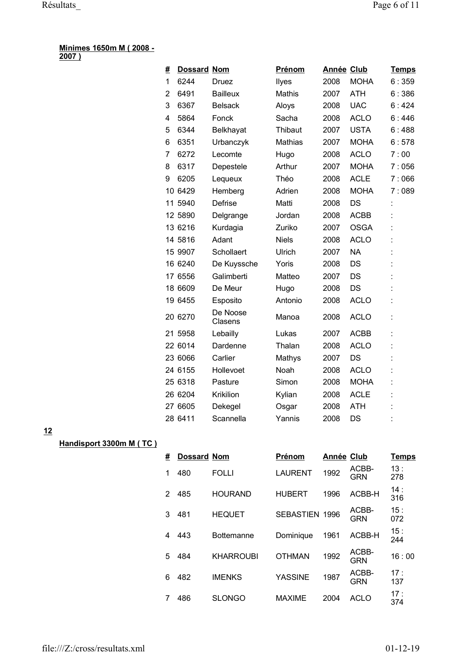#### **Minimes 1650m M ( 2008 - 2007 )**

| #  | <b>Dossard Nom</b> |                     | <b>Prénom</b> | <b>Année Club</b> |             | <u>Temps</u> |
|----|--------------------|---------------------|---------------|-------------------|-------------|--------------|
| 1  | 6244               | Druez               | Ilyes         | 2008              | <b>MOHA</b> | 6:359        |
| 2  | 6491               | <b>Bailleux</b>     | <b>Mathis</b> | 2007              | <b>ATH</b>  | 6:386        |
| 3  | 6367               | <b>Belsack</b>      | Aloys         | 2008              | <b>UAC</b>  | 6:424        |
| 4  | 5864               | Fonck               | Sacha         | 2008              | <b>ACLO</b> | 6:446        |
| 5  | 6344               | Belkhayat           | Thibaut       | 2007              | <b>USTA</b> | 6:488        |
| 6  | 6351               | Urbanczyk           | Mathias       | 2007              | <b>MOHA</b> | 6:578        |
| 7  | 6272               | Lecomte             | Hugo          | 2008              | <b>ACLO</b> | 7:00         |
| 8  | 6317               | Depestele           | Arthur        | 2007              | <b>MOHA</b> | 7:056        |
| 9  | 6205               | Lequeux             | Théo          | 2008              | <b>ACLE</b> | 7:066        |
| 10 | 6429               | Hemberg             | Adrien        | 2008              | <b>MOHA</b> | 7:089        |
| 11 | 5940               | <b>Defrise</b>      | Matti         | 2008              | DS          |              |
|    | 12 5890            | Delgrange           | Jordan        | 2008              | <b>ACBB</b> |              |
|    | 13 6216            | Kurdagia            | Zuriko        | 2007              | <b>OSGA</b> |              |
|    | 14 5816            | Adant               | <b>Niels</b>  | 2008              | <b>ACLO</b> |              |
|    | 15 9907            | Schollaert          | Ulrich        | 2007              | <b>NA</b>   |              |
|    | 16 6240            | De Kuyssche         | Yoris         | 2008              | DS          |              |
|    | 17 6556            | Galimberti          | Matteo        | 2007              | <b>DS</b>   |              |
|    | 18 6609            | De Meur             | Hugo          | 2008              | DS          |              |
|    | 19 6455            | Esposito            | Antonio       | 2008              | <b>ACLO</b> |              |
|    | 20 6270            | De Noose<br>Clasens | Manoa         | 2008              | <b>ACLO</b> |              |
|    | 21 5958            | Lebailly            | Lukas         | 2007              | <b>ACBB</b> |              |
|    | 22 6014            | Dardenne            | Thalan        | 2008              | <b>ACLO</b> |              |
|    | 23 6066            | Carlier             | Mathys        | 2007              | DS          |              |
|    | 24 6155            | Hollevoet           | Noah          | 2008              | <b>ACLO</b> |              |
|    | 25 6318            | Pasture             | Simon         | 2008              | <b>MOHA</b> |              |
|    | 26 6204            | Krikilion           | Kylian        | 2008              | <b>ACLE</b> |              |
|    | 27 6605            | Dekegel             | Osgar         | 2008              | <b>ATH</b>  |              |
|    | 28 6411            | Scannella           | Yannis        | 2008              | DS          |              |

# **12**

**Handisport 3300m M ( TC )**

| # | <b>Dossard Nom</b> |                   | Prénom                | Année Club |                     | <b>Temps</b> |
|---|--------------------|-------------------|-----------------------|------------|---------------------|--------------|
| 1 | 480                | <b>FOLLI</b>      | <b>LAURENT</b>        | 1992       | ACBB-<br><b>GRN</b> | 13:<br>278   |
| 2 | 485                | <b>HOURAND</b>    | <b>HUBERT</b>         | 1996       | ACBB-H              | 14:<br>316   |
| 3 | 481                | <b>HEQUET</b>     | <b>SEBASTIEN 1996</b> |            | ACBB-<br><b>GRN</b> | 15:<br>072   |
| 4 | 443                | <b>Bottemanne</b> | Dominique             | 1961       | ACBB-H              | 15:<br>244   |
| 5 | 484                | <b>KHARROUBI</b>  | <b>OTHMAN</b>         | 1992       | ACBB-<br><b>GRN</b> | 16:00        |
| 6 | 482                | <b>IMENKS</b>     | <b>YASSINE</b>        | 1987       | ACBB-<br><b>GRN</b> | 17:<br>137   |
|   | 486                | <b>SLONGO</b>     | <b>MAXIME</b>         | 2004       | <b>ACLO</b>         | 17:<br>374   |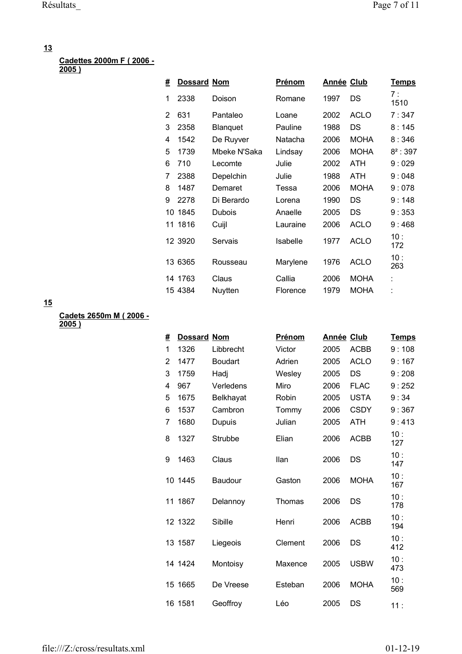# **Cadettes 2000m F ( 2006 -**

**2005 )**

| #  | <b>Dossard Nom</b> |              | Prénom   | Année Club |             | <u>Temps</u> |
|----|--------------------|--------------|----------|------------|-------------|--------------|
| 1  | 2338               | Doison       | Romane   | 1997       | DS          | 7 :<br>1510  |
| 2  | 631                | Pantaleo     | Loane    | 2002       | <b>ACLO</b> | 7:347        |
| 3  | 2358               | Blanquet     | Pauline  | 1988       | DS          | 8:145        |
| 4  | 1542               | De Ruyver    | Natacha  | 2006       | <b>MOHA</b> | 8:346        |
| 5  | 1739               | Mbeke N'Saka | Lindsay  | 2006       | <b>MOHA</b> | $8^2:397$    |
| 6  | 710                | Lecomte      | Julie    | 2002       | ATH         | 9:029        |
| 7  | 2388               | Depelchin    | Julie    | 1988       | <b>ATH</b>  | 9:048        |
| 8  | 1487               | Demaret      | Tessa    | 2006       | <b>MOHA</b> | 9:078        |
| 9  | 2278               | Di Berardo   | Lorena   | 1990       | DS          | 9:148        |
| 10 | 1845               | Dubois       | Anaelle  | 2005       | DS          | 9:353        |
| 11 | 1816               | Cuijl        | Lauraine | 2006       | <b>ACLO</b> | 9:468        |
|    | 12 3920            | Servais      | Isabelle | 1977       | <b>ACLO</b> | 10:<br>172   |
|    | 13 6365            | Rousseau     | Marylene | 1976       | <b>ACLO</b> | 10:<br>263   |
|    | 14 1763            | Claus        | Callia   | 2006       | <b>MOHA</b> | t            |
|    | 15 4384            | Nuytten      | Florence | 1979       | <b>MOHA</b> |              |

**15**

**Cadets 2650m M ( 2006 - 2005 )**

| # | <b>Dossard Nom</b> |                | Prénom  | Année Club |             | <u>Temps</u> |
|---|--------------------|----------------|---------|------------|-------------|--------------|
| 1 | 1326               | Libbrecht      | Victor  | 2005       | <b>ACBB</b> | 9:108        |
| 2 | 1477               | <b>Boudart</b> | Adrien  | 2005       | <b>ACLO</b> | 9:167        |
| 3 | 1759               | Hadj           | Wesley  | 2005       | <b>DS</b>   | 9:208        |
| 4 | 967                | Verledens      | Miro    | 2006       | <b>FLAC</b> | 9:252        |
| 5 | 1675               | Belkhayat      | Robin   | 2005       | <b>USTA</b> | 9:34         |
| 6 | 1537               | Cambron        | Tommy   | 2006       | <b>CSDY</b> | 9:367        |
| 7 | 1680               | Dupuis         | Julian  | 2005       | <b>ATH</b>  | 9:413        |
| 8 | 1327               | <b>Strubbe</b> | Elian   | 2006       | <b>ACBB</b> | 10:<br>127   |
| 9 | 1463               | Claus          | Ilan    | 2006       | DS          | 10:<br>147   |
|   | 10 1445            | Baudour        | Gaston  | 2006       | <b>MOHA</b> | 10:<br>167   |
|   | 11 1867            | Delannoy       | Thomas  | 2006       | DS          | 10:<br>178   |
|   | 12 1322            | Sibille        | Henri   | 2006       | <b>ACBB</b> | 10:<br>194   |
|   | 13 1587            | Liegeois       | Clement | 2006       | DS          | 10:<br>412   |
|   | 14 1424            | Montoisy       | Maxence | 2005       | <b>USBW</b> | 10:<br>473   |
|   | 15 1665            | De Vreese      | Esteban | 2006       | <b>MOHA</b> | 10:<br>569   |
|   | 16 1581            | Geoffroy       | Léo     | 2005       | DS          | 11:          |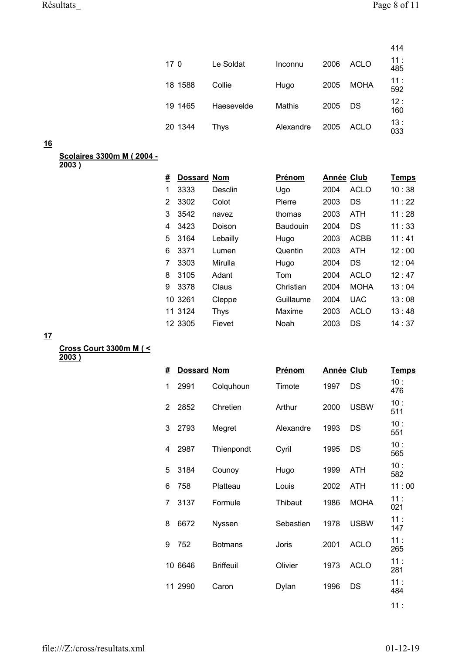|         |            |           |      |             | 414        |
|---------|------------|-----------|------|-------------|------------|
| 170     | Le Soldat  | Inconnu   | 2006 | <b>ACLO</b> | 11:<br>485 |
| 18 1588 | Collie     | Hugo      | 2005 | <b>MOHA</b> | 11:<br>592 |
| 19 1465 | Haesevelde | Mathis    | 2005 | DS          | 12:<br>160 |
| 20 1344 | Thys       | Alexandre | 2005 | ACLO        | 13:<br>033 |

#### **Scolaires 3300m M ( 2004 -**

**2003 )**

| #              | <b>Dossard Nom</b> |             | Prénom    | Année Club |             | <b>Temps</b> |
|----------------|--------------------|-------------|-----------|------------|-------------|--------------|
| 1              | 3333               | Desclin     | Ugo       | 2004       | <b>ACLO</b> | 10:38        |
| $\overline{2}$ | 3302               | Colot       | Pierre    | 2003       | DS          | 11:22        |
| 3              | 3542               | navez       | thomas    | 2003       | <b>ATH</b>  | 11:28        |
| 4              | 3423               | Doison      | Baudouin  | 2004       | DS          | 11:33        |
| 5              | 3164               | Lebailly    | Hugo      | 2003       | <b>ACBB</b> | 11:41        |
| 6              | 3371               | Lumen       | Quentin   | 2003       | <b>ATH</b>  | 12:00        |
| 7              | 3303               | Mirulla     | Hugo      | 2004       | DS.         | 12:04        |
| 8              | 3105               | Adant       | Tom       | 2004       | <b>ACLO</b> | 12:47        |
| 9              | 3378               | Claus       | Christian | 2004       | <b>MOHA</b> | 13:04        |
|                | 10 3261            | Cleppe      | Guillaume | 2004       | <b>UAC</b>  | 13:08        |
|                | 11 3124            | <b>Thys</b> | Maxime    | 2003       | <b>ACLO</b> | 13:48        |
|                | 12 3305            | Fievet      | Noah      | 2003       | DS          | 14:37        |
|                |                    |             |           |            |             |              |

**17**

**Cross Court 3300m M ( < 2003 )**

| # | <b>Dossard Nom</b> |                  | Prénom    | Année Club |             | <u>Temps</u> |
|---|--------------------|------------------|-----------|------------|-------------|--------------|
| 1 | 2991               | Colquhoun        | Timote    | 1997       | DS          | 10:<br>476   |
| 2 | 2852               | Chretien         | Arthur    | 2000       | <b>USBW</b> | 10:<br>511   |
| 3 | 2793               | Megret           | Alexandre | 1993       | DS          | 10:<br>551   |
| 4 | 2987               | Thienpondt       | Cyril     | 1995       | DS          | 10:<br>565   |
| 5 | 3184               | Counoy           | Hugo      | 1999       | <b>ATH</b>  | 10:<br>582   |
| 6 | 758                | Platteau         | Louis     | 2002       | ATH         | 11:00        |
| 7 | 3137               | Formule          | Thibaut   | 1986       | <b>MOHA</b> | 11:<br>021   |
| 8 | 6672               | Nyssen           | Sebastien | 1978       | <b>USBW</b> | 11:<br>147   |
| 9 | 752                | <b>Botmans</b>   | Joris     | 2001       | <b>ACLO</b> | 11:<br>265   |
|   | 10 6646            | <b>Briffeuil</b> | Olivier   | 1973       | <b>ACLO</b> | 11:<br>281   |
|   | 11 2990            | Caron            | Dylan     | 1996       | DS          | 11:<br>484   |
|   |                    |                  |           |            |             |              |

 $11:$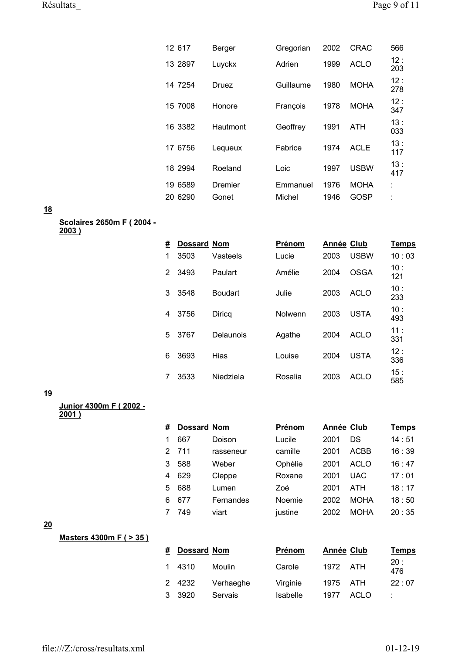| 12 617  | Berger   | Gregorian | 2002 | <b>CRAC</b> | 566        |
|---------|----------|-----------|------|-------------|------------|
| 13 2897 | Luyckx   | Adrien    | 1999 | <b>ACLO</b> | 12:<br>203 |
| 14 7254 | Druez    | Guillaume | 1980 | <b>MOHA</b> | 12:<br>278 |
| 15 7008 | Honore   | François  | 1978 | <b>MOHA</b> | 12:<br>347 |
| 16 3382 | Hautmont | Geoffrey  | 1991 | ATH         | 13:<br>033 |
| 17 6756 | Lequeux  | Fabrice   | 1974 | <b>ACLE</b> | 13:<br>117 |
| 18 2994 | Roeland  | Loic      | 1997 | <b>USBW</b> | 13:<br>417 |
| 19 6589 | Dremier  | Emmanuel  | 1976 | <b>MOHA</b> | İ          |
| 20 6290 | Gonet    | Michel    | 1946 | GOSP        |            |

#### **Scolaires 2650m F ( 2004 -**

**2003 )**

| # | <b>Dossard Nom</b> |                | Prénom  | <b>Année Club</b> |             | Temps      |
|---|--------------------|----------------|---------|-------------------|-------------|------------|
| 1 | 3503               | Vasteels       | Lucie   | 2003              | <b>USBW</b> | 10:03      |
| 2 | 3493               | Paulart        | Amélie  | 2004              | OSGA        | 10:<br>121 |
| 3 | 3548               | <b>Boudart</b> | Julie   | 2003              | ACL O       | 10:<br>233 |
| 4 | 3756               | Diricq         | Nolwenn | 2003              | <b>USTA</b> | 10:<br>493 |
| 5 | 3767               | Delaunois      | Agathe  | 2004              | <b>ACLO</b> | 11:<br>331 |
| 6 | 3693               | Hias           | Louise  | 2004              | <b>USTA</b> | 12:<br>336 |
|   | 3533               | Niedziela      | Rosalia | 2003              | ACL O       | 15:<br>585 |

#### **19**

**Junior 4300m F ( 2002 -**

**2001 )**

| #  | <b>Dossard Nom</b> |           | Prénom  | <b>Année Club</b> |             | <b>Temps</b> |
|----|--------------------|-----------|---------|-------------------|-------------|--------------|
|    | 667                | Doison    | Lucile  | 2001              | DS          | 14:51        |
| 2  | 711                | rasseneur | camille | 2001              | ACBB        | 16:39        |
| 3  | 588                | Weber     | Ophélie | 2001              | <b>ACLO</b> | 16:47        |
| 4  | 629                | Cleppe    | Roxane  | 2001              | UAC         | 17:01        |
| 5  | 688                | Lumen     | Zoé     | 2001              | ATH         | 18:17        |
| ิค | 677                | Fernandes | Noemie  | 2002              | <b>MOHA</b> | 18:50        |
|    | 749                | viart     | justine | 2002              | <b>MOHA</b> | 20:35        |

# **20**

**Masters 4300m F ( > 35 )**

| # | <b>Dossard Nom</b> |           | Prénom   |      | Année Club | <u>Temps</u> |
|---|--------------------|-----------|----------|------|------------|--------------|
|   | 1 4310             | Moulin    | Carole   | 1972 | ATH        | 20:<br>476   |
|   | 2 4232             | Verhaeghe | Virginie | 1975 | ATH        | 22:07        |
|   | 3 3920             | Servais   | Isabelle | 1977 | ACLO       |              |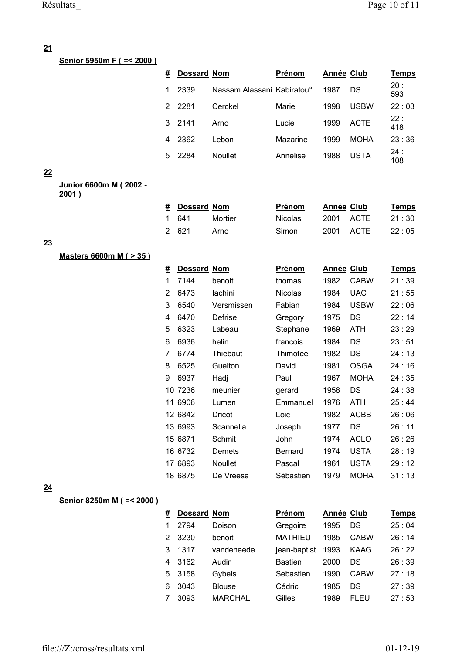**Senior 5950m F ( =< 2000 )**

| # | <b>Dossard Nom</b> |                            | Prénom   | Année Club |             | <b>Temps</b> |
|---|--------------------|----------------------------|----------|------------|-------------|--------------|
| 1 | 2339               | Nassam Alassani Kabiratou° |          | 1987       | DS          | 20:<br>593   |
| 2 | 2281               | Cerckel                    | Marie    | 1998       | USBW        | 22:03        |
| 3 | 2141               | Arno                       | Lucie    | 1999       | ACTE        | 22:<br>418   |
|   | 2362               | Lebon                      | Mazarine | 1999       | <b>MOHA</b> | 23:36        |
| 5 | 2284               | <b>Noullet</b>             | Annelise | 1988       | USTA        | 24:<br>108   |

#### **22**

**Junior 6600m M ( 2002 - 2001 )**

| # Dossard Nom |         | <b>Prénom</b>  | Année Club | <b>Temps</b> |
|---------------|---------|----------------|------------|--------------|
| 1 641         | Mortier | <b>Nicolas</b> | 2001 ACTE  | 21:30        |
| 2621          | Arno    | Simon          | 2001 ACTE  | 22:05        |

#### **23**

**Masters 6600m M ( > 35 )**

| #  | Dossard | <b>Nom</b>     | Prénom         | <b>Année Club</b> |             | <u>Temps</u> |
|----|---------|----------------|----------------|-------------------|-------------|--------------|
| 1  | 7144    | benoit         | thomas         | 1982              | <b>CABW</b> | 21 : 39      |
| 2  | 6473    | lachini        | Nicolas        | 1984              | <b>UAC</b>  | 21:55        |
| 3  | 6540    | Versmissen     | Fabian         | 1984              | <b>USBW</b> | 22:06        |
| 4  | 6470    | Defrise        | Gregory        | 1975              | DS          | 22:14        |
| 5  | 6323    | Labeau         | Stephane       | 1969              | <b>ATH</b>  | 23:29        |
| 6  | 6936    | helin          | francois       | 1984              | DS          | 23 : 51      |
| 7  | 6774    | Thiebaut       | Thimotee       | 1982              | DS          | 24 : 13      |
| 8  | 6525    | Guelton        | David          | 1981              | <b>OSGA</b> | 24 : 16      |
| 9  | 6937    | Hadj           | Paul           | 1967              | <b>MOHA</b> | 24:35        |
| 10 | 7236    | meunier        | gerard         | 1958              | DS          | 24:38        |
| 11 | 6906    | Lumen          | Emmanuel       | 1976              | ATH         | 25:44        |
|    | 12 6842 | Dricot         | Loic           | 1982              | ACBB        | 26 : 06      |
|    | 13 6993 | Scannella      | Joseph         | 1977              | DS          | 26:11        |
|    | 15 6871 | Schmit         | John           | 1974              | <b>ACLO</b> | 26:26        |
|    | 16 6732 | Demets         | <b>Bernard</b> | 1974              | USTA        | 28:19        |
|    | 17 6893 | <b>Noullet</b> | Pascal         | 1961              | USTA        | 29:12        |
|    | 18 6875 | De Vreese      | Sébastien      | 1979              | <b>MOHA</b> | 31:13        |

#### **24**

## **Senior 8250m M ( =< 2000 )**

| # | <b>Dossard Nom</b> |                | Prénom         | Année Club |             | Temps |
|---|--------------------|----------------|----------------|------------|-------------|-------|
|   | 2794               | Doison         | Gregoire       | 1995       | DS          | 25:04 |
| 2 | 3230               | benoit         | <b>MATHIEU</b> | 1985       | <b>CABW</b> | 26:14 |
| 3 | 1317               | vandeneede     | jean-baptist   | 1993       | KAAG        | 26:22 |
| 4 | 3162               | Audin          | <b>Bastien</b> | 2000       | DS          | 26:39 |
| 5 | 3158               | Gybels         | Sebastien      | 1990       | <b>CABW</b> | 27:18 |
| 6 | 3043               | <b>Blouse</b>  | Cédric         | 1985       | DS          | 27:39 |
|   | 3093               | <b>MARCHAL</b> | Gilles         | 1989       | FU<br>FΙ    | 27:53 |